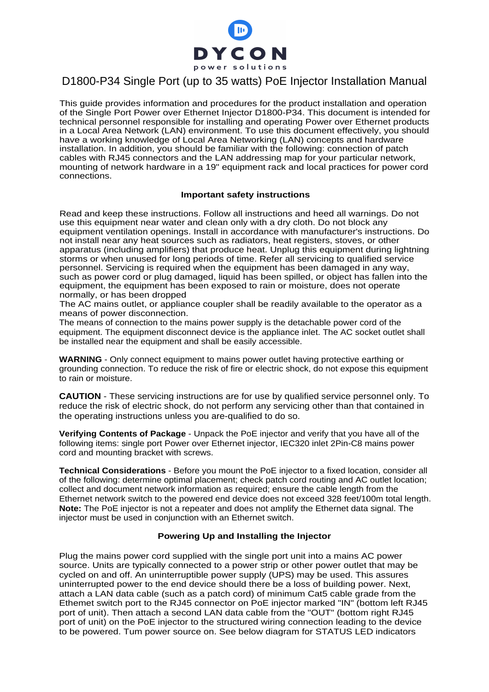

## D1800-P34 Single Port (up to 35 watts) PoE Injector Installation Manual

This guide provides information and procedures for the product installation and operation of the Single Port Power over Ethernet Injector D1800-P34. This document is intended for technical personnel responsible for installing and operating Power over Ethernet products in a Local Area Network (LAN) environment. To use this document effectively, you should have a working knowledge of Local Area Networking (LAN) concepts and hardware installation. In addition, you should be familiar with the following: connection of patch cables with RJ45 connectors and the LAN addressing map for your particular network, mounting of network hardware in a 19" equipment rack and local practices for power cord connections.

## **Important safety instructions**

Read and keep these instructions. Follow all instructions and heed all warnings. Do not use this equipment near water and clean only with a dry cloth. Do not block any equipment ventilation openings. Install in accordance with manufacturer's instructions. Do not install near any heat sources such as radiators, heat registers, stoves, or other apparatus (including amplifiers) that produce heat. Unplug this equipment during lightning storms or when unused for long periods of time. Refer all servicing to qualified service personnel. Servicing is required when the equipment has been damaged in any way, such as power cord or plug damaged, liquid has been spilled, or object has fallen into the equipment, the equipment has been exposed to rain or moisture, does not operate normally, or has been dropped

The AC mains outlet, or appliance coupler shall be readily available to the operator as a means of power disconnection.

The means of connection to the mains power supply is the detachable power cord of the equipment. The equipment disconnect device is the appliance inlet. The AC socket outlet shall be installed near the equipment and shall be easily accessible.

**WARNING** - Only connect equipment to mains power outlet having protective earthing or grounding connection. To reduce the risk of fire or electric shock, do not expose this equipment to rain or moisture.

**CAUTION** - These servicing instructions are for use by qualified service personnel only. To reduce the risk of electric shock, do not perform any servicing other than that contained in the operating instructions unless you are-qualified to do so.

**Verifying Contents of Package** - Unpack the PoE injector and verify that you have all of the following items: single port Power over Ethernet injector, IEC320 inlet 2Pin-C8 mains power cord and mounting bracket with screws.

**Technical Considerations** - Before you mount the PoE injector to a fixed location, consider all of the following: determine optimal placement; check patch cord routing and AC outlet location; collect and document network information as required; ensure the cable length from the Ethernet network switch to the powered end device does not exceed 328 feet/100m total length. **Note:** The PoE injector is not a repeater and does not amplify the Ethernet data signal. The injector must be used in conjunction with an Ethernet switch.

## **Powering Up and Installing the Injector**

Plug the mains power cord supplied with the single port unit into a mains AC power source. Units are typically connected to a power strip or other power outlet that may be cycled on and off. An uninterruptible power supply (UPS) may be used. This assures uninterrupted power to the end device should there be a loss of building power. Next, attach a LAN data cable (such as a patch cord) of minimum Cat5 cable grade from the Ethemet switch port to the RJ45 connector on PoE injector marked "IN" (bottom left RJ45 port of unit). Then attach a second LAN data cable from the "OUT" (bottom right RJ45 port of unit) on the PoE injector to the structured wiring connection leading to the device to be powered. Tum power source on. See below diagram for STATUS LED indicators